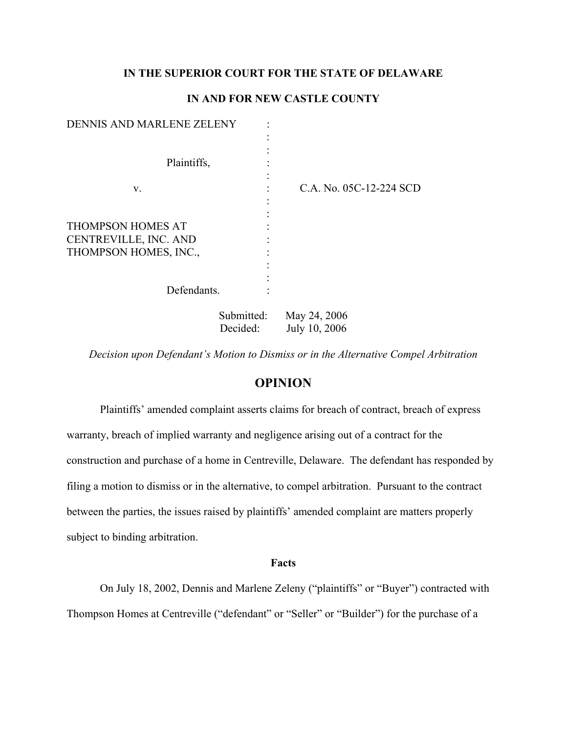# **IN THE SUPERIOR COURT FOR THE STATE OF DELAWARE**

# **IN AND FOR NEW CASTLE COUNTY**

| DENNIS AND MARLENE ZELENY |            |                         |
|---------------------------|------------|-------------------------|
|                           |            |                         |
|                           |            |                         |
| Plaintiffs,               |            |                         |
|                           |            |                         |
| V.                        |            | C.A. No. 05C-12-224 SCD |
|                           |            |                         |
|                           |            |                         |
| THOMPSON HOMES AT         |            |                         |
| CENTREVILLE, INC. AND     |            |                         |
| THOMPSON HOMES, INC.,     |            |                         |
|                           |            |                         |
|                           |            |                         |
| Defendants.               |            |                         |
|                           | Submitted: | May 24, 2006            |

*Decision upon Defendant's Motion to Dismiss or in the Alternative Compel Arbitration* 

Decided: July 10, 2006

# **OPINION**

Plaintiffs' amended complaint asserts claims for breach of contract, breach of express warranty, breach of implied warranty and negligence arising out of a contract for the construction and purchase of a home in Centreville, Delaware. The defendant has responded by filing a motion to dismiss or in the alternative, to compel arbitration. Pursuant to the contract between the parties, the issues raised by plaintiffs' amended complaint are matters properly subject to binding arbitration.

### **Facts**

On July 18, 2002, Dennis and Marlene Zeleny ("plaintiffs" or "Buyer") contracted with Thompson Homes at Centreville ("defendant" or "Seller" or "Builder") for the purchase of a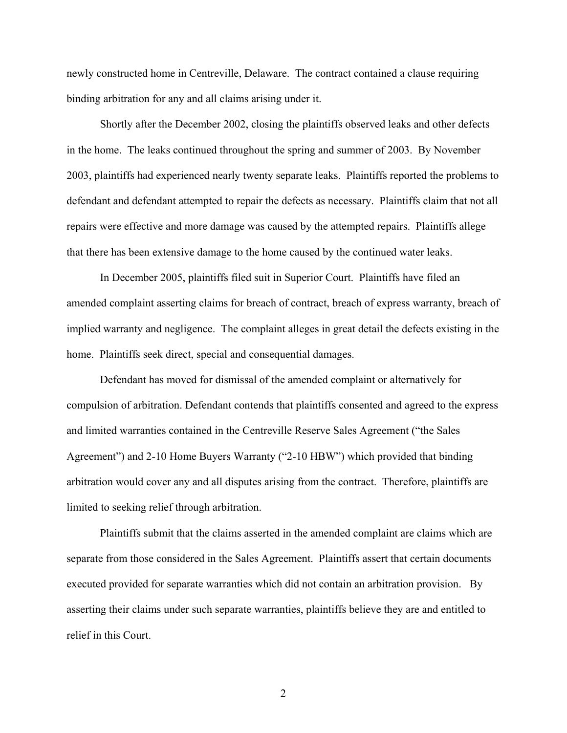newly constructed home in Centreville, Delaware. The contract contained a clause requiring binding arbitration for any and all claims arising under it.

Shortly after the December 2002, closing the plaintiffs observed leaks and other defects in the home. The leaks continued throughout the spring and summer of 2003. By November 2003, plaintiffs had experienced nearly twenty separate leaks. Plaintiffs reported the problems to defendant and defendant attempted to repair the defects as necessary. Plaintiffs claim that not all repairs were effective and more damage was caused by the attempted repairs. Plaintiffs allege that there has been extensive damage to the home caused by the continued water leaks.

In December 2005, plaintiffs filed suit in Superior Court. Plaintiffs have filed an amended complaint asserting claims for breach of contract, breach of express warranty, breach of implied warranty and negligence. The complaint alleges in great detail the defects existing in the home. Plaintiffs seek direct, special and consequential damages.

Defendant has moved for dismissal of the amended complaint or alternatively for compulsion of arbitration. Defendant contends that plaintiffs consented and agreed to the express and limited warranties contained in the Centreville Reserve Sales Agreement ("the Sales Agreement") and 2-10 Home Buyers Warranty ("2-10 HBW") which provided that binding arbitration would cover any and all disputes arising from the contract. Therefore, plaintiffs are limited to seeking relief through arbitration.

Plaintiffs submit that the claims asserted in the amended complaint are claims which are separate from those considered in the Sales Agreement. Plaintiffs assert that certain documents executed provided for separate warranties which did not contain an arbitration provision. By asserting their claims under such separate warranties, plaintiffs believe they are and entitled to relief in this Court.

2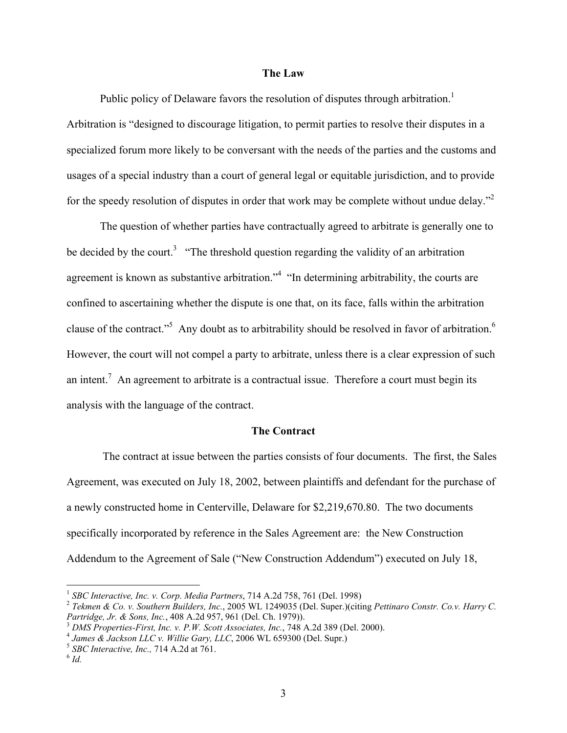### **The Law**

Public policy of Delaware favors the resolution of disputes through arbitration.<sup>[1](#page-2-0)</sup> Arbitration is "designed to discourage litigation, to permit parties to resolve their disputes in a specialized forum more likely to be conversant with the needs of the parties and the customs and usages of a special industry than a court of general legal or equitable jurisdiction, and to provide for the speedy resolution of disputes in order that work may be complete without undue delay."<sup>[2](#page-2-1)</sup>

The question of whether parties have contractually agreed to arbitrate is generally one to be decided by the court.<sup>3</sup> "The threshold question regarding the validity of an arbitration agreement is known as substantive arbitration."<sup>4</sup> "In determining arbitrability, the courts are confined to ascertaining whether the dispute is one that, on its face, falls within the arbitration clauseof the contract."<sup>5</sup> Any doubt as to arbitrability should be resolved in favor of arbitration.<sup>[6](#page-2-5)</sup> However, the court will not compel a party to arbitrate, unless there is a clear expression of such anintent.<sup>7</sup> An agreement to arbitrate is a contractual issue. Therefore a court must begin its analysis with the language of the contract.

### **The Contract**

 The contract at issue between the parties consists of four documents. The first, the Sales Agreement, was executed on July 18, 2002, between plaintiffs and defendant for the purchase of a newly constructed home in Centerville, Delaware for \$2,219,670.80. The two documents specifically incorporated by reference in the Sales Agreement are: the New Construction Addendum to the Agreement of Sale ("New Construction Addendum") executed on July 18,

<span id="page-2-1"></span>

<span id="page-2-0"></span><sup>&</sup>lt;sup>1</sup> *SBC Interactive, Inc. v. Corp. Media Partners, 714 A.2d 758, 761 (Del. 1998)*<br><sup>2</sup> *Tekmen & Co. v. Southern Builders, Inc., 2005 WL 1249035 (Del. Super.)(citing <i>Pettinaro Constr. Co.v. Harry C. Partridge, Jr. & Sons,* 

<span id="page-2-2"></span><sup>&</sup>lt;sup>3</sup> DMS Properties-First, Inc. v. P.W. Scott Associates, Inc., 748 A.2d 389 (Del. 2000).<br><sup>4</sup> James & Jackson LLC v. Willie Gary, LLC, 2006 WL 659300 (Del. Supr.)<br><sup>5</sup> SBC Interactive, Inc., 714 A.2d at 761.<br><sup>6</sup> Id.

<span id="page-2-6"></span><span id="page-2-3"></span>

<span id="page-2-4"></span>

<span id="page-2-5"></span>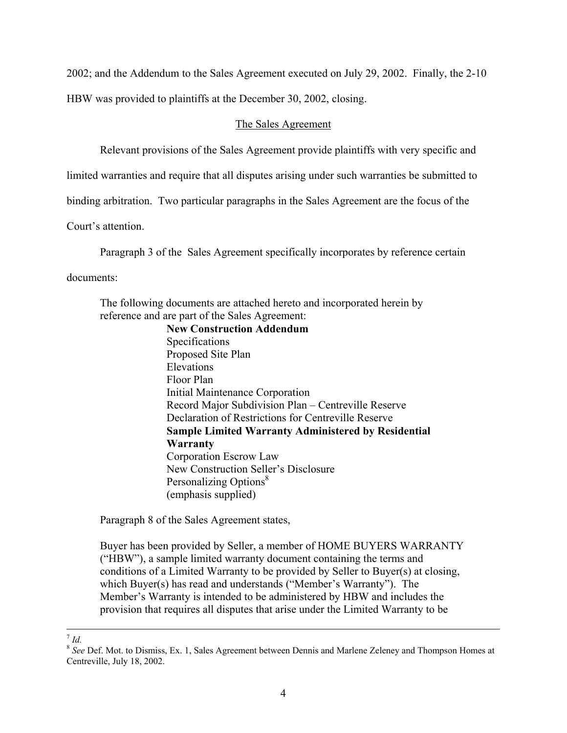2002; and the Addendum to the Sales Agreement executed on July 29, 2002. Finally, the 2-10 HBW was provided to plaintiffs at the December 30, 2002, closing.

### The Sales Agreement

Relevant provisions of the Sales Agreement provide plaintiffs with very specific and

limited warranties and require that all disputes arising under such warranties be submitted to

binding arbitration. Two particular paragraphs in the Sales Agreement are the focus of the

Court's attention.

Paragraph 3 of the Sales Agreement specifically incorporates by reference certain

documents:

The following documents are attached hereto and incorporated herein by reference and are part of the Sales Agreement:

**New Construction Addendum**  Specifications Proposed Site Plan Elevations Floor Plan Initial Maintenance Corporation Record Major Subdivision Plan – Centreville Reserve Declaration of Restrictions for Centreville Reserve **Sample Limited Warranty Administered by Residential Warranty** Corporation Escrow Law New Construction Seller's Disclosure Personalizing Options<sup>[8](#page-3-0)</sup> (emphasis supplied)

Paragraph 8 of the Sales Agreement states,

Buyer has been provided by Seller, a member of HOME BUYERS WARRANTY ("HBW"), a sample limited warranty document containing the terms and conditions of a Limited Warranty to be provided by Seller to Buyer(s) at closing, which Buyer(s) has read and understands ("Member's Warranty"). The Member's Warranty is intended to be administered by HBW and includes the provision that requires all disputes that arise under the Limited Warranty to be

<span id="page-3-0"></span>

<sup>&</sup>lt;sup>7</sup> *Id.* <sup>8</sup> *See* Def. Mot. to Dismiss, Ex. 1, Sales Agreement between Dennis and Marlene Zeleney and Thompson Homes at Centreville, July 18, 2002.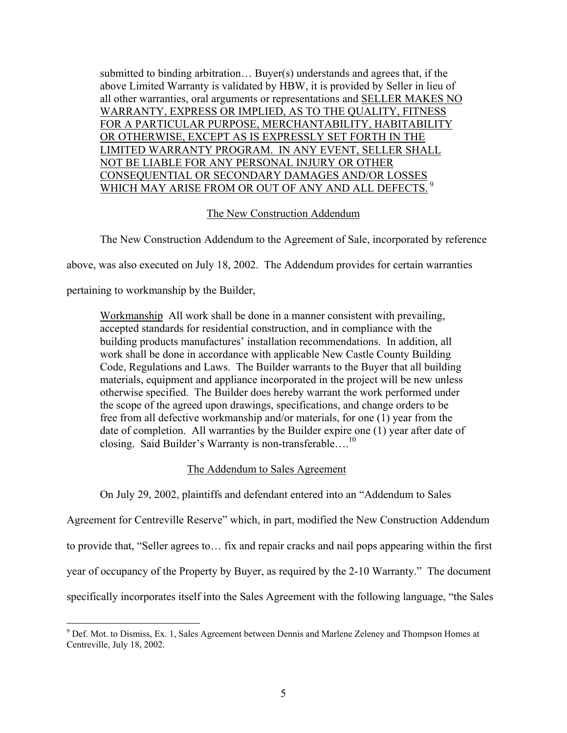submitted to binding arbitration… Buyer(s) understands and agrees that, if the above Limited Warranty is validated by HBW, it is provided by Seller in lieu of all other warranties, oral arguments or representations and SELLER MAKES NO WARRANTY, EXPRESS OR IMPLIED, AS TO THE QUALITY, FITNESS FOR A PARTICULAR PURPOSE, MERCHANTABILITY, HABITABILITY OR OTHERWISE, EXCEPT AS IS EXPRESSLY SET FORTH IN THE LIMITED WARRANTY PROGRAM. IN ANY EVENT, SELLER SHALL NOT BE LIABLE FOR ANY PERSONAL INJURY OR OTHER CONSEQUENTIAL OR SECONDARY DAMAGES AND/OR LOSSES WHICH MAY ARISE FROM OR OUT OF ANY AND ALL DEFECTS.<sup>9</sup>

# The New Construction Addendum

The New Construction Addendum to the Agreement of Sale, incorporated by reference

above, was also executed on July 18, 2002. The Addendum provides for certain warranties

pertaining to workmanship by the Builder,

Workmanship All work shall be done in a manner consistent with prevailing, accepted standards for residential construction, and in compliance with the building products manufactures' installation recommendations. In addition, all work shall be done in accordance with applicable New Castle County Building Code, Regulations and Laws. The Builder warrants to the Buyer that all building materials, equipment and appliance incorporated in the project will be new unless otherwise specified. The Builder does hereby warrant the work performed under the scope of the agreed upon drawings, specifications, and change orders to be free from all defective workmanship and/or materials, for one (1) year from the date of completion. All warranties by the Builder expire one (1) year after date of closing. Said Builder's Warranty is non-transferable....<sup>10</sup>

# The Addendum to Sales Agreement

On July 29, 2002, plaintiffs and defendant entered into an "Addendum to Sales

Agreement for Centreville Reserve" which, in part, modified the New Construction Addendum to provide that, "Seller agrees to… fix and repair cracks and nail pops appearing within the first year of occupancy of the Property by Buyer, as required by the 2-10 Warranty." The document specifically incorporates itself into the Sales Agreement with the following language, "the Sales

<span id="page-4-1"></span><span id="page-4-0"></span><sup>-&</sup>lt;br>9 Def. Mot. to Dismiss, Ex. 1, Sales Agreement between Dennis and Marlene Zeleney and Thompson Homes at Centreville, July 18, 2002.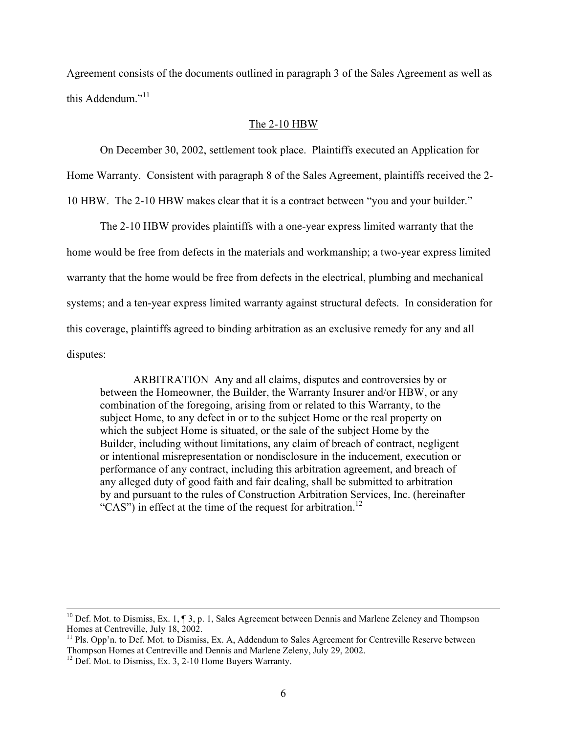Agreement consists of the documents outlined in paragraph 3 of the Sales Agreement as well as this Addendum."<sup>[11](#page-5-0)</sup>

### The 2-10 HBW

On December 30, 2002, settlement took place. Plaintiffs executed an Application for

Home Warranty. Consistent with paragraph 8 of the Sales Agreement, plaintiffs received the 2-

10 HBW. The 2-10 HBW makes clear that it is a contract between "you and your builder."

The 2-10 HBW provides plaintiffs with a one-year express limited warranty that the home would be free from defects in the materials and workmanship; a two-year express limited warranty that the home would be free from defects in the electrical, plumbing and mechanical systems; and a ten-year express limited warranty against structural defects. In consideration for this coverage, plaintiffs agreed to binding arbitration as an exclusive remedy for any and all disputes:

ARBITRATION Any and all claims, disputes and controversies by or between the Homeowner, the Builder, the Warranty Insurer and/or HBW, or any combination of the foregoing, arising from or related to this Warranty, to the subject Home, to any defect in or to the subject Home or the real property on which the subject Home is situated, or the sale of the subject Home by the Builder, including without limitations, any claim of breach of contract, negligent or intentional misrepresentation or nondisclosure in the inducement, execution or performance of any contract, including this arbitration agreement, and breach of any alleged duty of good faith and fair dealing, shall be submitted to arbitration by and pursuant to the rules of Construction Arbitration Services, Inc. (hereinafter "CAS") in effect at the time of the request for arbitration.<sup>[12](#page-5-1)</sup>

<sup>&</sup>lt;sup>10</sup> Def. Mot. to Dismiss, Ex. 1,  $\P$  3, p. 1, Sales Agreement between Dennis and Marlene Zeleney and Thompson Homes at Centreville, July 18, 2002.

<span id="page-5-0"></span> $<sup>11</sup>$  Pls. Opp'n. to Def. Mot. to Dismiss, Ex. A, Addendum to Sales Agreement for Centreville Reserve between</sup> Thompson Homes at Centreville and Dennis and Marlene Zeleny, July 29, 2002. 12 Def. Mot. to Dismiss, Ex. 3, 2-10 Home Buyers Warranty.

<span id="page-5-1"></span>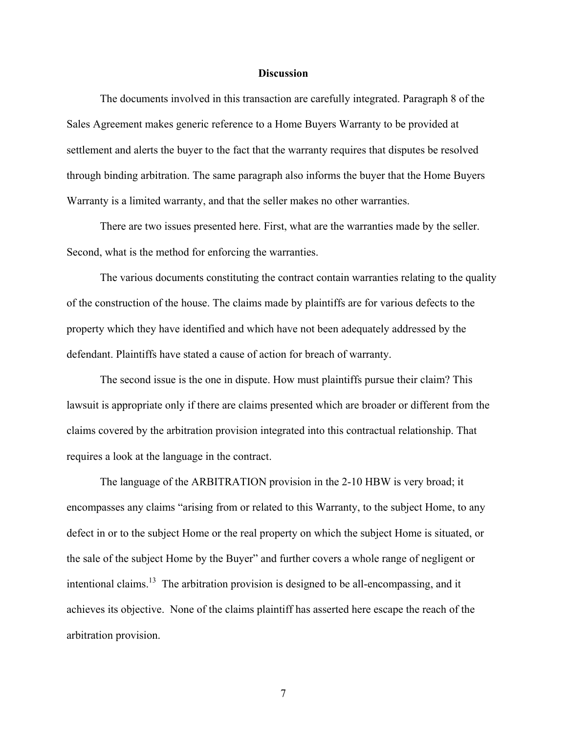### **Discussion**

The documents involved in this transaction are carefully integrated. Paragraph 8 of the Sales Agreement makes generic reference to a Home Buyers Warranty to be provided at settlement and alerts the buyer to the fact that the warranty requires that disputes be resolved through binding arbitration. The same paragraph also informs the buyer that the Home Buyers Warranty is a limited warranty, and that the seller makes no other warranties.

There are two issues presented here. First, what are the warranties made by the seller. Second, what is the method for enforcing the warranties.

The various documents constituting the contract contain warranties relating to the quality of the construction of the house. The claims made by plaintiffs are for various defects to the property which they have identified and which have not been adequately addressed by the defendant. Plaintiffs have stated a cause of action for breach of warranty.

The second issue is the one in dispute. How must plaintiffs pursue their claim? This lawsuit is appropriate only if there are claims presented which are broader or different from the claims covered by the arbitration provision integrated into this contractual relationship. That requires a look at the language in the contract.

<span id="page-6-0"></span>The language of the ARBITRATION provision in the 2-10 HBW is very broad; it encompasses any claims "arising from or related to this Warranty, to the subject Home, to any defect in or to the subject Home or the real property on which the subject Home is situated, or the sale of the subject Home by the Buyer" and further covers a whole range of negligent or intentional claims. [13](#page-6-0) The arbitration provision is designed to be all-encompassing, and it achieves its objective. None of the claims plaintiff has asserted here escape the reach of the arbitration provision.

7